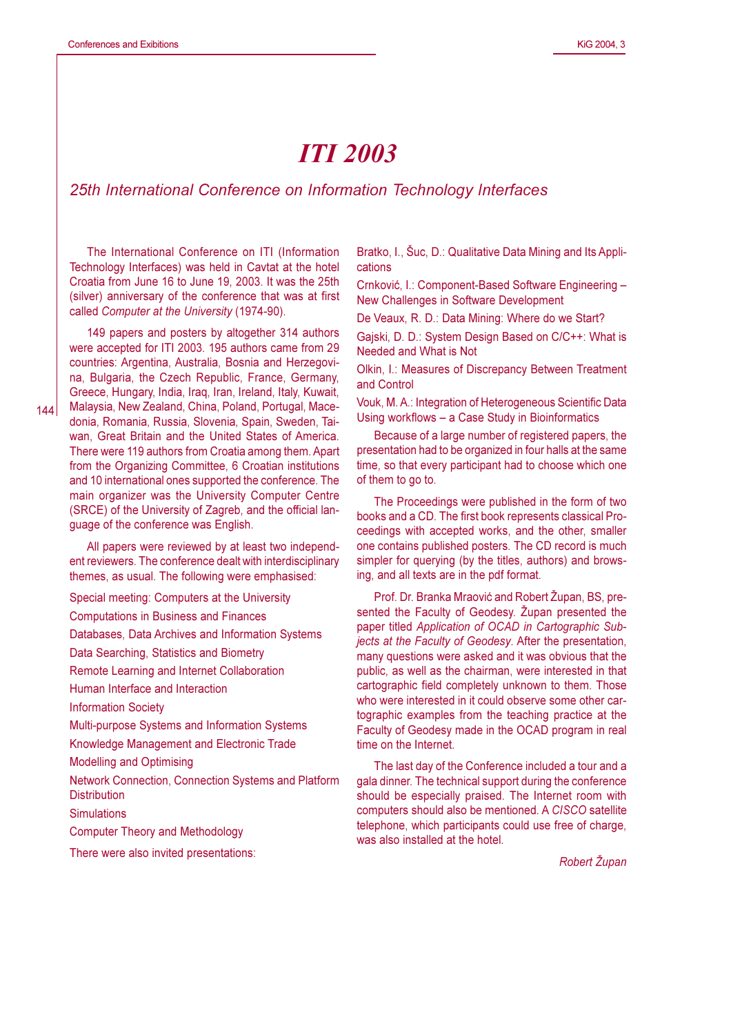## **ITI 2003**

## 25th International Conference on Information Technology Interfaces

The International Conference on ITI (Information Technology Interfaces) was held in Caytat at the hotel Croatia from June 16 to June 19, 2003. It was the 25th (silver) anniversary of the conference that was at first called Computer at the University (1974-90).

149 papers and posters by altogether 314 authors were accepted for ITI 2003. 195 authors came from 29 countries: Argentina, Australia, Bosnia and Herzegovina, Bulgaria, the Czech Republic, France, Germany, Greece, Hungary, India, Iraq, Iran, Ireland, Italy, Kuwait, Malaysia, New Zealand, China, Poland, Portugal, Macedonia, Romania, Russia, Slovenia, Spain, Sweden, Taiwan, Great Britain and the United States of America. There were 119 authors from Croatia among them. Apart from the Organizing Committee, 6 Croatian institutions and 10 international ones supported the conference. The main organizer was the University Computer Centre (SRCE) of the University of Zagreb, and the official language of the conference was English.

All papers were reviewed by at least two independent reviewers. The conference dealt with interdisciplinary themes, as usual. The following were emphasised:

Special meeting: Computers at the University **Computations in Business and Finances** Databases, Data Archives and Information Systems Data Searching, Statistics and Biometry Remote Learning and Internet Collaboration Human Interface and Interaction **Information Society** Multi-purpose Systems and Information Systems Knowledge Management and Electronic Trade **Modelling and Optimising** Network Connection, Connection Systems and Platform **Distribution Simulations Computer Theory and Methodology** There were also invited presentations:

Bratko, I., Šuc, D.; Qualitative Data Mining and Its Applications

Crnković, I.: Component-Based Software Engineering -New Challenges in Software Development

De Veaux, R. D.: Data Mining: Where do we Start?

Gajski, D. D.: System Design Based on C/C++: What is Needed and What is Not

Olkin, I.: Measures of Discrepancy Between Treatment and Control

Vouk, M. A.: Integration of Heterogeneous Scientific Data Using workflows - a Case Study in Bioinformatics

Because of a large number of registered papers, the presentation had to be organized in four halls at the same time, so that every participant had to choose which one of them to go to.

The Proceedings were published in the form of two books and a CD. The first book represents classical Proceedings with accepted works, and the other, smaller one contains published posters. The CD record is much simpler for querying (by the titles, authors) and browsing, and all texts are in the pdf format.

Prof. Dr. Branka Mraović and Robert Župan, BS, presented the Faculty of Geodesy. Župan presented the paper titled Application of OCAD in Cartographic Subjects at the Faculty of Geodesy. After the presentation, many questions were asked and it was obvious that the public, as well as the chairman, were interested in that cartographic field completely unknown to them. Those who were interested in it could observe some other cartographic examples from the teaching practice at the Faculty of Geodesy made in the OCAD program in real time on the Internet.

The last day of the Conference included a tour and a gala dinner. The technical support during the conference should be especially praised. The Internet room with computers should also be mentioned. A CISCO satellite telephone, which participants could use free of charge, was also installed at the hotel.

Robert Župan

 $144$